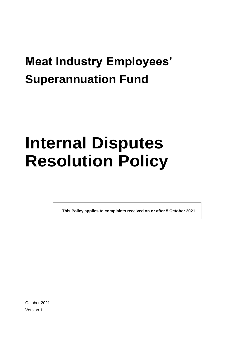# **Meat Industry Employees' Superannuation Fund**

# **Internal Disputes Resolution Policy**

**This Policy applies to complaints received on or after 5 October 2021**

October 2021 Version 1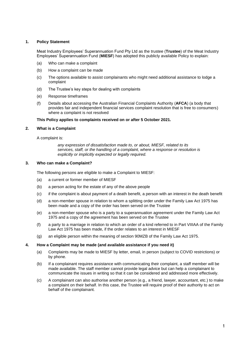#### **1. Policy Statement**

Meat Industry Employees' Superannuation Fund Pty Ltd as the trustee (**Trustee**) of the Meat Industry Employees' Superannuation Fund (**MIESF**) has adopted this publicly available Policy to explain:

- (a) Who can make a complaint
- (b) How a complaint can be made
- (c) The options available to assist complainants who might need additional assistance to lodge a complaint
- (d) The Trustee's key steps for dealing with complaints
- (e) Response timeframes
- (f) Details about accessing the Australian Financial Complaints Authority (**AFCA**) (a body that provides fair and independent financial services complaint resolution that is free to consumers) where a complaint is not resolved

#### **This Policy applies to complaints received on or after 5 October 2021.**

#### **2. What is a Complaint**

A complaint is:

*any expression of dissatisfaction made to, or about, MIESF, related to its services, staff, or the handling of a complaint, where a response or resolution is explicitly or implicitly expected or legally required.*

#### **3. Who can make a Complaint?**

The following persons are eligible to make a Complaint to MIESF:

- (a) a current or former member of MIESF
- (b) a person acting for the estate of any of the above people
- (c) if the complaint is about payment of a death benefit, a person with an interest in the death benefit
- (d) a non-member spouse in relation to whom a splitting order under the Family Law Act 1975 has been made and a copy of the order has been served on the Trustee
- (e) a non-member spouse who is a party to a superannuation agreement under the Family Law Act 1975 and a copy of the agreement has been served on the Trustee
- (f) a party to a marriage in relation to which an order of a kind referred to in Part VIIIAA of the Family Law Act 1975 has been made, if the order relates to an interest in MIESF
- (g) an eligible person within the meaning of section 90MZB of the Family Law Act 1975.

#### **4. How a Complaint may be made (and available assistance if you need it)**

- (a) Complaints may be made to MIESF by letter, email, in person (subject to COVID restrictions) or by phone.
- (b) If a complainant requires assistance with communicating their complaint, a staff member will be made available. The staff member cannot provide legal advice but can help a complainant to communicate the issues in writing so that it can be considered and addressed more effectively.
- (c) A complainant can also authorise another person (e.g., a friend, lawyer, accountant, etc.) to make a complaint on their behalf. In this case, the Trustee will require proof of their authority to act on behalf of the complainant.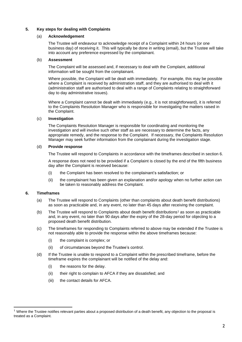#### **5. Key steps for dealing with Complaints**

#### (a) **Acknowledgement**

The Trustee will endeavour to acknowledge receipt of a Complaint within 24 hours (or one business day) of receiving it. This will typically be done in writing (email), but the Trustee will take into account any preference expressed by the complainant.

#### (b) **Assessment**

The Complaint will be assessed and, if necessary to deal with the Complaint, additional information will be sought from the complainant.

Where possible, the Complaint will be dealt with immediately. For example, this may be possible where a Complaint is received by administration staff, and they are authorised to deal with it (administration staff are authorised to deal with a range of Complaints relating to straightforward day to day administrative issues).

Where a Complaint cannot be dealt with immediately (e.g., it is not straightforward), it is referred to the Complaints Resolution Manager who is responsible for investigating the matters raised in the Complaint.

#### (c) **Investigation**

The Complaints Resolution Manager is responsible for coordinating and monitoring the investigation and will involve such other staff as are necessary to determine the facts, any appropriate remedy, and the response to the Complaint. If necessary, the Complaints Resolution Manager may seek further information from the complainant during the investigation stage.

#### (d) **Provide response**

The Trustee will respond to Complaints in accordance with the timeframes described in section 6.

A response does not need to be provided if a Complaint is closed by the end of the fifth business day after the Complaint is received because:

- (i) the Complaint has been resolved to the complainant's satisfaction; or
- (ii) the complainant has been given an explanation and/or apology when no further action can be taken to reasonably address the Complaint.

#### **6. Timeframes**

- (a) The Trustee will respond to Complaints (other than complaints about death benefit distributions) as soon as practicable and, in any event, no later than 45 days after receiving the complaint.
- (b) The Trustee will respond to Complaints about death benefit distributions<sup>1</sup> as soon as practicable and, in any event, no later than 90 days after the expiry of the 28-day period for objecting to a proposed death benefit distribution.
- (c) The timeframes for responding to Complaints referred to above may be extended if the Trustee is not reasonably able to provide the response within the above timeframes because:
	- (i) the complaint is complex; or
	- (ii) of circumstances beyond the Trustee's control.
- (d) If the Trustee is unable to respond to a Complaint within the prescribed timeframe, before the timeframe expires the complainant will be notified of the delay and:
	- (i) the reasons for the delay.
	- (ii) their right to complain to AFCA if they are dissatisfied; and
	- (iii) the contact details for AFCA.

<sup>&</sup>lt;sup>1</sup> Where the Trustee notifies relevant parties about a proposed distribution of a death benefit, any objection to the proposal is treated as a Complaint.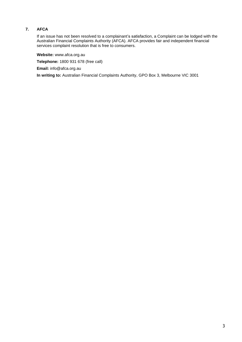### **7. AFCA**

If an issue has not been resolved to a complainant's satisfaction, a Complaint can be lodged with the Australian Financial Complaints Authority (AFCA). AFCA provides fair and independent financial services complaint resolution that is free to consumers.

**Website:** www.afca.org.au

**Telephone:** 1800 931 678 (free call)

**Email:** info@afca.org.au

**In writing to:** Australian Financial Complaints Authority, GPO Box 3, Melbourne VIC 3001